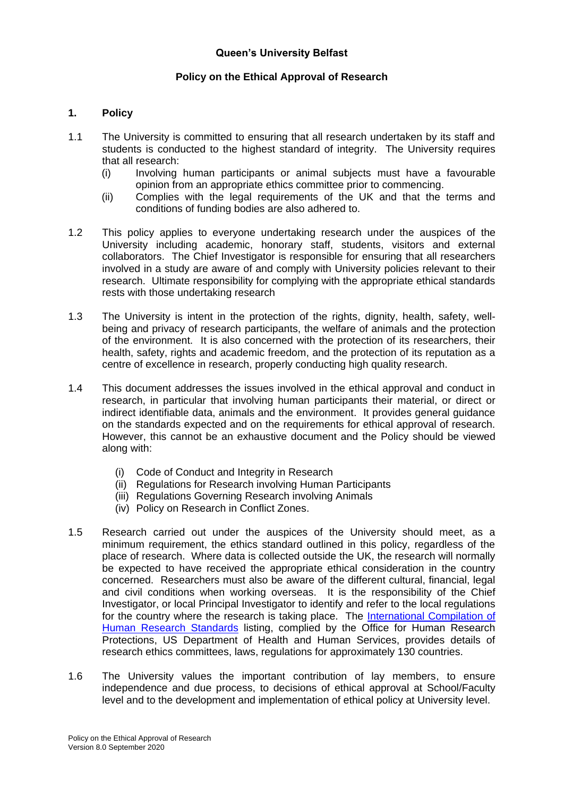# **Queen's University Belfast**

# **Policy on the Ethical Approval of Research**

## **1. Policy**

- 1.1 The University is committed to ensuring that all research undertaken by its staff and students is conducted to the highest standard of integrity. The University requires that all research:
	- (i) Involving human participants or animal subjects must have a favourable opinion from an appropriate ethics committee prior to commencing.
	- (ii) Complies with the legal requirements of the UK and that the terms and conditions of funding bodies are also adhered to.
- 1.2 This policy applies to everyone undertaking research under the auspices of the University including academic, honorary staff, students, visitors and external collaborators. The Chief Investigator is responsible for ensuring that all researchers involved in a study are aware of and comply with University policies relevant to their research. Ultimate responsibility for complying with the appropriate ethical standards rests with those undertaking research
- 1.3 The University is intent in the protection of the rights, dignity, health, safety, wellbeing and privacy of research participants, the welfare of animals and the protection of the environment. It is also concerned with the protection of its researchers, their health, safety, rights and academic freedom, and the protection of its reputation as a centre of excellence in research, properly conducting high quality research.
- 1.4 This document addresses the issues involved in the ethical approval and conduct in research, in particular that involving human participants their material, or direct or indirect identifiable data, animals and the environment. It provides general guidance on the standards expected and on the requirements for ethical approval of research. However, this cannot be an exhaustive document and the Policy should be viewed along with:
	- (i) Code of Conduct and Integrity in Research
	- (ii) Regulations for Research involving Human Participants
	- (iii) Regulations Governing Research involving Animals
	- (iv) Policy on Research in Conflict Zones.
- 1.5 Research carried out under the auspices of the University should meet, as a minimum requirement, the ethics standard outlined in this policy, regardless of the place of research. Where data is collected outside the UK, the research will normally be expected to have received the appropriate ethical consideration in the country concerned. Researchers must also be aware of the different cultural, financial, legal and civil conditions when working overseas. It is the responsibility of the Chief Investigator, or local Principal Investigator to identify and refer to the local regulations for the country where the research is taking place. The International Compilation of [Human Research Standards](https://www.hhs.gov/ohrp/international/compilation-human-research-standards/index.html) listing, complied by the Office for Human Research Protections, US Department of Health and Human Services, provides details of research ethics committees, laws, regulations for approximately 130 countries.
- 1.6 The University values the important contribution of lay members, to ensure independence and due process, to decisions of ethical approval at School/Faculty level and to the development and implementation of ethical policy at University level.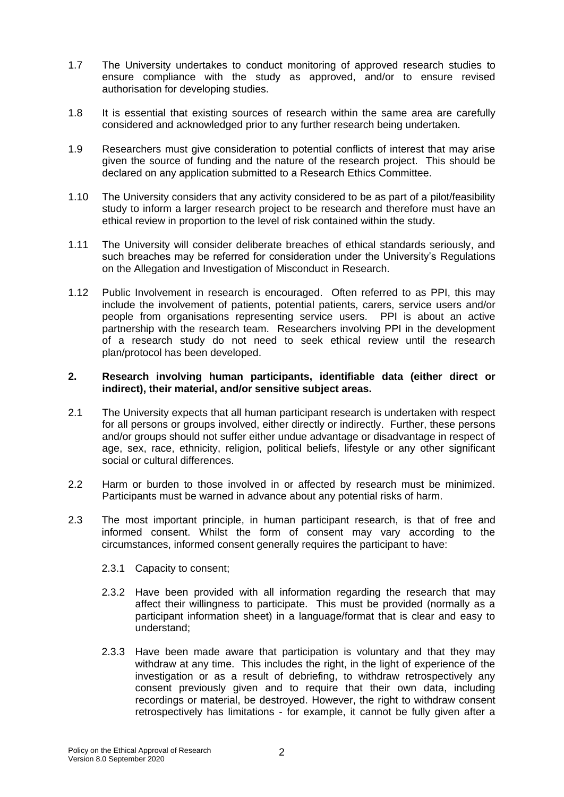- 1.7 The University undertakes to conduct monitoring of approved research studies to ensure compliance with the study as approved, and/or to ensure revised authorisation for developing studies.
- 1.8 It is essential that existing sources of research within the same area are carefully considered and acknowledged prior to any further research being undertaken.
- 1.9 Researchers must give consideration to potential conflicts of interest that may arise given the source of funding and the nature of the research project. This should be declared on any application submitted to a Research Ethics Committee.
- 1.10 The University considers that any activity considered to be as part of a pilot/feasibility study to inform a larger research project to be research and therefore must have an ethical review in proportion to the level of risk contained within the study.
- 1.11 The University will consider deliberate breaches of ethical standards seriously, and such breaches may be referred for consideration under the University's Regulations on the Allegation and Investigation of Misconduct in Research.
- 1.12 Public Involvement in research is encouraged. Often referred to as PPI, this may include the involvement of patients, potential patients, carers, service users and/or people from organisations representing service users. PPI is about an active partnership with the research team. Researchers involving PPI in the development of a research study do not need to seek ethical review until the research plan/protocol has been developed.

### **2. Research involving human participants, identifiable data (either direct or indirect), their material, and/or sensitive subject areas.**

- 2.1 The University expects that all human participant research is undertaken with respect for all persons or groups involved, either directly or indirectly. Further, these persons and/or groups should not suffer either undue advantage or disadvantage in respect of age, sex, race, ethnicity, religion, political beliefs, lifestyle or any other significant social or cultural differences.
- 2.2 Harm or burden to those involved in or affected by research must be minimized. Participants must be warned in advance about any potential risks of harm.
- 2.3 The most important principle, in human participant research, is that of free and informed consent. Whilst the form of consent may vary according to the circumstances, informed consent generally requires the participant to have:
	- 2.3.1 Capacity to consent;
	- 2.3.2 Have been provided with all information regarding the research that may affect their willingness to participate. This must be provided (normally as a participant information sheet) in a language/format that is clear and easy to understand;
	- 2.3.3 Have been made aware that participation is voluntary and that they may withdraw at any time. This includes the right, in the light of experience of the investigation or as a result of debriefing, to withdraw retrospectively any consent previously given and to require that their own data, including recordings or material, be destroyed. However, the right to withdraw consent retrospectively has limitations - for example, it cannot be fully given after a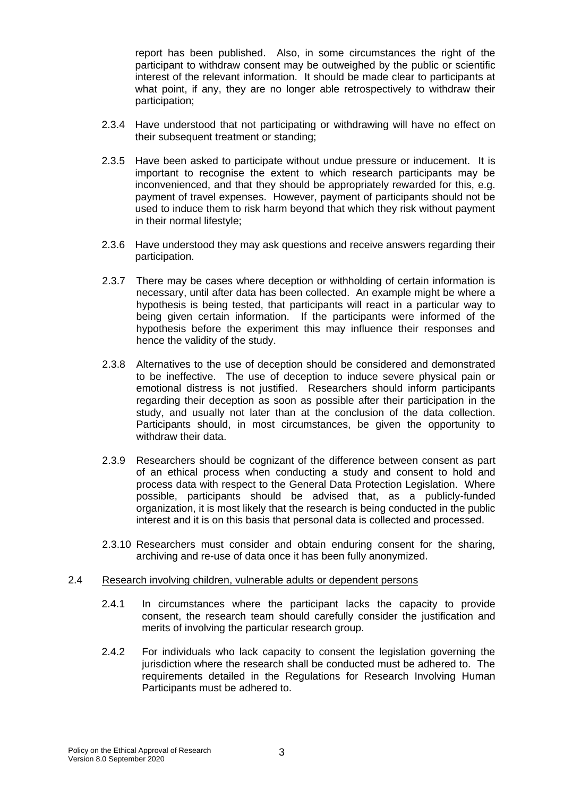report has been published. Also, in some circumstances the right of the participant to withdraw consent may be outweighed by the public or scientific interest of the relevant information. It should be made clear to participants at what point, if any, they are no longer able retrospectively to withdraw their participation;

- 2.3.4 Have understood that not participating or withdrawing will have no effect on their subsequent treatment or standing;
- 2.3.5 Have been asked to participate without undue pressure or inducement. It is important to recognise the extent to which research participants may be inconvenienced, and that they should be appropriately rewarded for this, e.g. payment of travel expenses. However, payment of participants should not be used to induce them to risk harm beyond that which they risk without payment in their normal lifestyle;
- 2.3.6 Have understood they may ask questions and receive answers regarding their participation.
- 2.3.7 There may be cases where deception or withholding of certain information is necessary, until after data has been collected. An example might be where a hypothesis is being tested, that participants will react in a particular way to being given certain information. If the participants were informed of the hypothesis before the experiment this may influence their responses and hence the validity of the study.
- 2.3.8 Alternatives to the use of deception should be considered and demonstrated to be ineffective. The use of deception to induce severe physical pain or emotional distress is not justified. Researchers should inform participants regarding their deception as soon as possible after their participation in the study, and usually not later than at the conclusion of the data collection. Participants should, in most circumstances, be given the opportunity to withdraw their data.
- 2.3.9 Researchers should be cognizant of the difference between consent as part of an ethical process when conducting a study and consent to hold and process data with respect to the General Data Protection Legislation. Where possible, participants should be advised that, as a publicly-funded organization, it is most likely that the research is being conducted in the public interest and it is on this basis that personal data is collected and processed.
- 2.3.10 Researchers must consider and obtain enduring consent for the sharing, archiving and re-use of data once it has been fully anonymized.

#### 2.4 Research involving children, vulnerable adults or dependent persons

- 2.4.1 In circumstances where the participant lacks the capacity to provide consent, the research team should carefully consider the justification and merits of involving the particular research group.
- 2.4.2 For individuals who lack capacity to consent the legislation governing the jurisdiction where the research shall be conducted must be adhered to. The requirements detailed in the Regulations for Research Involving Human Participants must be adhered to.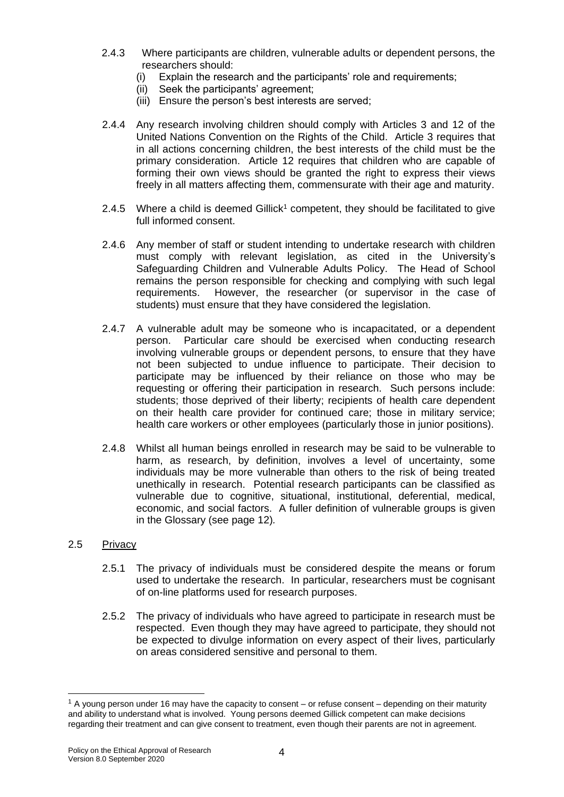- 2.4.3 Where participants are children, vulnerable adults or dependent persons, the researchers should:
	- (i) Explain the research and the participants' role and requirements;
	- (ii) Seek the participants' agreement;
	- (iii) Ensure the person's best interests are served;
- 2.4.4 Any research involving children should comply with Articles 3 and 12 of the United Nations Convention on the Rights of the Child. Article 3 requires that in all actions concerning children, the best interests of the child must be the primary consideration. Article 12 requires that children who are capable of forming their own views should be granted the right to express their views freely in all matters affecting them, commensurate with their age and maturity.
- 2.4.5 Where a child is deemed Gillick<sup>1</sup> competent, they should be facilitated to give full informed consent.
- 2.4.6 Any member of staff or student intending to undertake research with children must comply with relevant legislation, as cited in the University's Safeguarding Children and Vulnerable Adults Policy. The Head of School remains the person responsible for checking and complying with such legal requirements. However, the researcher (or supervisor in the case of students) must ensure that they have considered the legislation.
- 2.4.7 A vulnerable adult may be someone who is incapacitated, or a dependent person. Particular care should be exercised when conducting research involving vulnerable groups or dependent persons, to ensure that they have not been subjected to undue influence to participate. Their decision to participate may be influenced by their reliance on those who may be requesting or offering their participation in research. Such persons include: students; those deprived of their liberty; recipients of health care dependent on their health care provider for continued care; those in military service; health care workers or other employees (particularly those in junior positions).
- 2.4.8 Whilst all human beings enrolled in research may be said to be vulnerable to harm, as research, by definition, involves a level of uncertainty, some individuals may be more vulnerable than others to the risk of being treated unethically in research. Potential research participants can be classified as vulnerable due to cognitive, situational, institutional, deferential, medical, economic, and social factors. A fuller definition of vulnerable groups is given in the Glossary (see page 12)*.*

#### 2.5 Privacy

1

- 2.5.1 The privacy of individuals must be considered despite the means or forum used to undertake the research. In particular, researchers must be cognisant of on-line platforms used for research purposes.
- 2.5.2 The privacy of individuals who have agreed to participate in research must be respected. Even though they may have agreed to participate, they should not be expected to divulge information on every aspect of their lives, particularly on areas considered sensitive and personal to them.

 $1$  A young person under 16 may have the capacity to consent – or refuse consent – depending on their maturity and ability to understand what is involved. Young persons deemed Gillick competent can make decisions regarding their treatment and can give consent to treatment, even though their parents are not in agreement.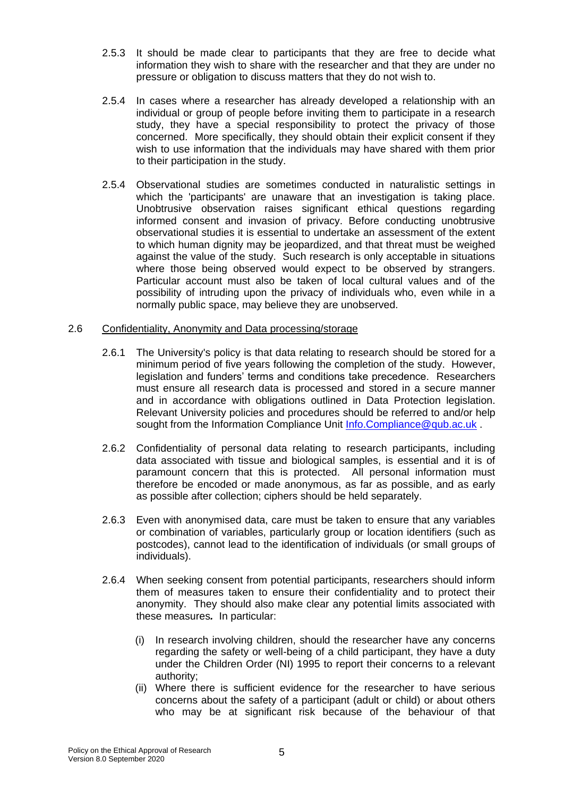- 2.5.3 It should be made clear to participants that they are free to decide what information they wish to share with the researcher and that they are under no pressure or obligation to discuss matters that they do not wish to.
- 2.5.4 In cases where a researcher has already developed a relationship with an individual or group of people before inviting them to participate in a research study, they have a special responsibility to protect the privacy of those concerned. More specifically, they should obtain their explicit consent if they wish to use information that the individuals may have shared with them prior to their participation in the study.
- 2.5.4 Observational studies are sometimes conducted in naturalistic settings in which the 'participants' are unaware that an investigation is taking place. Unobtrusive observation raises significant ethical questions regarding informed consent and invasion of privacy. Before conducting unobtrusive observational studies it is essential to undertake an assessment of the extent to which human dignity may be jeopardized, and that threat must be weighed against the value of the study. Such research is only acceptable in situations where those being observed would expect to be observed by strangers. Particular account must also be taken of local cultural values and of the possibility of intruding upon the privacy of individuals who, even while in a normally public space, may believe they are unobserved.

## 2.6 Confidentiality, Anonymity and Data processing/storage

- 2.6.1 The University's policy is that data relating to research should be stored for a minimum period of five years following the completion of the study. However, legislation and funders' terms and conditions take precedence. Researchers must ensure all research data is processed and stored in a secure manner and in accordance with obligations outlined in Data Protection legislation. Relevant University policies and procedures should be referred to and/or help sought from the Information Compliance Unit [Info.Compliance@qub.ac.uk](mailto:Info.Compliance@qub.ac.uk).
- 2.6.2 Confidentiality of personal data relating to research participants, including data associated with tissue and biological samples, is essential and it is of paramount concern that this is protected. All personal information must therefore be encoded or made anonymous, as far as possible, and as early as possible after collection; ciphers should be held separately.
- 2.6.3 Even with anonymised data, care must be taken to ensure that any variables or combination of variables, particularly group or location identifiers (such as postcodes), cannot lead to the identification of individuals (or small groups of individuals).
- 2.6.4 When seeking consent from potential participants, researchers should inform them of measures taken to ensure their confidentiality and to protect their anonymity. They should also make clear any potential limits associated with these measures*.* In particular:
	- (i) In research involving children, should the researcher have any concerns regarding the safety or well-being of a child participant, they have a duty under the Children Order (NI) 1995 to report their concerns to a relevant authority;
	- (ii) Where there is sufficient evidence for the researcher to have serious concerns about the safety of a participant (adult or child) or about others who may be at significant risk because of the behaviour of that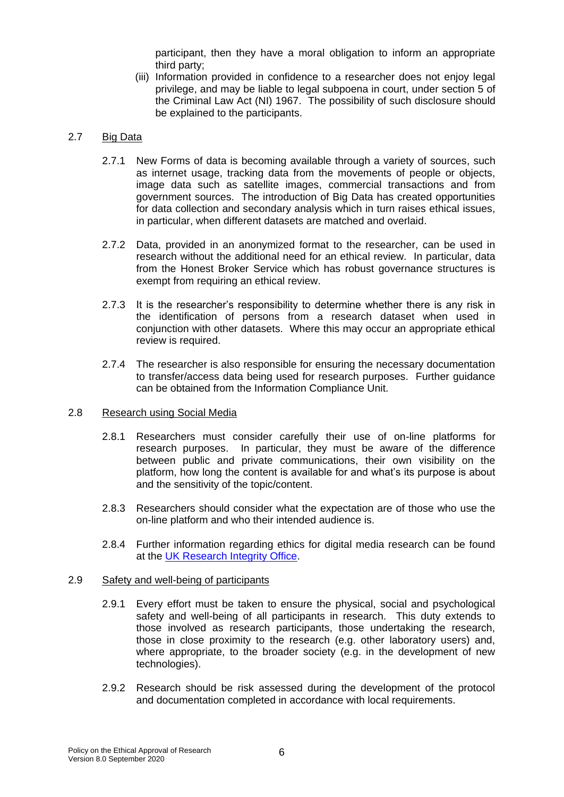participant, then they have a moral obligation to inform an appropriate third party;

(iii) Information provided in confidence to a researcher does not enjoy legal privilege, and may be liable to legal subpoena in court, under section 5 of the Criminal Law Act (NI) 1967. The possibility of such disclosure should be explained to the participants.

## 2.7 Big Data

- 2.7.1 New Forms of data is becoming available through a variety of sources, such as internet usage, tracking data from the movements of people or objects, image data such as satellite images, commercial transactions and from government sources. The introduction of Big Data has created opportunities for data collection and secondary analysis which in turn raises ethical issues, in particular, when different datasets are matched and overlaid.
- 2.7.2 Data, provided in an anonymized format to the researcher, can be used in research without the additional need for an ethical review. In particular, data from the Honest Broker Service which has robust governance structures is exempt from requiring an ethical review.
- 2.7.3 It is the researcher's responsibility to determine whether there is any risk in the identification of persons from a research dataset when used in conjunction with other datasets. Where this may occur an appropriate ethical review is required.
- 2.7.4 The researcher is also responsible for ensuring the necessary documentation to transfer/access data being used for research purposes. Further guidance can be obtained from the Information Compliance Unit.

## 2.8 Research using Social Media

- 2.8.1 Researchers must consider carefully their use of on-line platforms for research purposes. In particular, they must be aware of the difference between public and private communications, their own visibility on the platform, how long the content is available for and what's its purpose is about and the sensitivity of the topic/content.
- 2.8.3 Researchers should consider what the expectation are of those who use the on-line platform and who their intended audience is.
- 2.8.4 Further information regarding ethics for digital media research can be found at the [UK Research Integrity Office.](https://ukrio.org/wp-content/uploads/UKRIO-Guidance-Note-Internet-Mediated-Research-v1.0.pdf)

## 2.9 Safety and well-being of participants

- 2.9.1 Every effort must be taken to ensure the physical, social and psychological safety and well-being of all participants in research. This duty extends to those involved as research participants, those undertaking the research, those in close proximity to the research (e.g. other laboratory users) and, where appropriate, to the broader society (e.g. in the development of new technologies).
- 2.9.2 Research should be risk assessed during the development of the protocol and documentation completed in accordance with local requirements.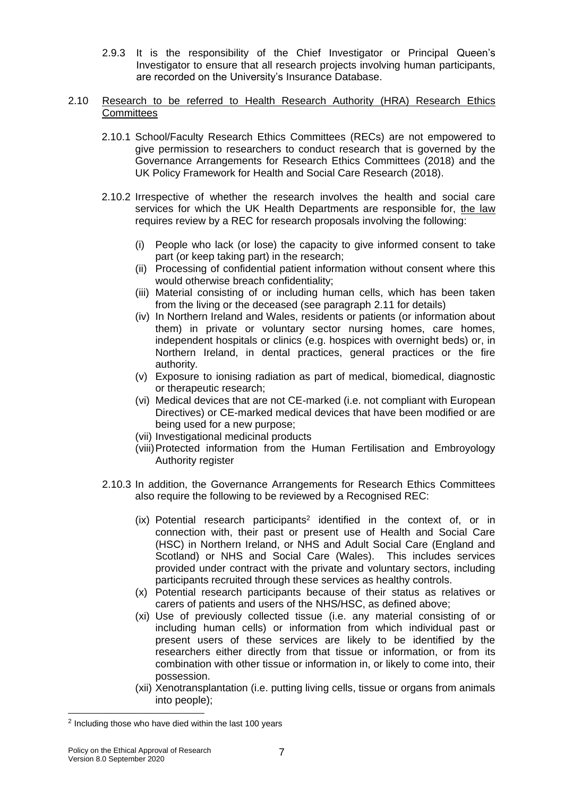2.9.3 It is the responsibility of the Chief Investigator or Principal Queen's Investigator to ensure that all research projects involving human participants, are recorded on the University's Insurance Database.

### 2.10 Research to be referred to Health Research Authority (HRA) Research Ethics **Committees**

- 2.10.1 School/Faculty Research Ethics Committees (RECs) are not empowered to give permission to researchers to conduct research that is governed by the Governance Arrangements for Research Ethics Committees (2018) and the UK Policy Framework for Health and Social Care Research (2018).
- 2.10.2 Irrespective of whether the research involves the health and social care services for which the UK Health Departments are responsible for, the law requires review by a REC for research proposals involving the following:
	- (i) People who lack (or lose) the capacity to give informed consent to take part (or keep taking part) in the research;
	- (ii) Processing of confidential patient information without consent where this would otherwise breach confidentiality;
	- (iii) Material consisting of or including human cells, which has been taken from the living or the deceased (see paragraph 2.11 for details)
	- (iv) In Northern Ireland and Wales, residents or patients (or information about them) in private or voluntary sector nursing homes, care homes, independent hospitals or clinics (e.g. hospices with overnight beds) or, in Northern Ireland, in dental practices, general practices or the fire authority*.*
	- (v) Exposure to ionising radiation as part of medical, biomedical, diagnostic or therapeutic research;
	- (vi) Medical devices that are not CE-marked (i.e. not compliant with European Directives) or CE-marked medical devices that have been modified or are being used for a new purpose;
	- (vii) Investigational medicinal products
	- (viii)Protected information from the Human Fertilisation and Embroyology Authority register
- 2.10.3 In addition, the Governance Arrangements for Research Ethics Committees also require the following to be reviewed by a Recognised REC:
	- $(ix)$  Potential research participants<sup>2</sup> identified in the context of, or in connection with, their past or present use of Health and Social Care (HSC) in Northern Ireland, or NHS and Adult Social Care (England and Scotland) or NHS and Social Care (Wales). This includes services provided under contract with the private and voluntary sectors, including participants recruited through these services as healthy controls.
	- (x) Potential research participants because of their status as relatives or carers of patients and users of the NHS/HSC, as defined above;
	- (xi) Use of previously collected tissue (i.e. any material consisting of or including human cells) or information from which individual past or present users of these services are likely to be identified by the researchers either directly from that tissue or information, or from its combination with other tissue or information in, or likely to come into, their possession.
	- (xii) Xenotransplantation (i.e. putting living cells, tissue or organs from animals into people);

1

<sup>&</sup>lt;sup>2</sup> Including those who have died within the last 100 years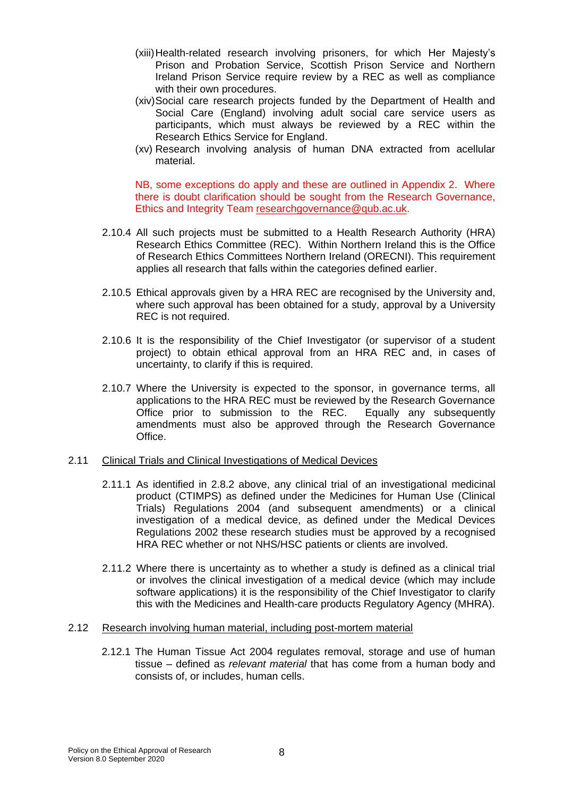- (xiii)Health-related research involving prisoners, for which Her Majesty's Prison and Probation Service, Scottish Prison Service and Northern Ireland Prison Service require review by a REC as well as compliance with their own procedures.
- (xiv)Social care research projects funded by the Department of Health and Social Care (England) involving adult social care service users as participants, which must always be reviewed by a REC within the Research Ethics Service for England.
- (xv) Research involving analysis of human DNA extracted from acellular material.

NB, some exceptions do apply and these are outlined in Appendix 2. Where there is doubt clarification should be sought from the Research Governance, Ethics and Integrity Team [researchgovernance@qub.ac.uk.](mailto:researchgovernance@qub.ac.uk)

- 2.10.4 All such projects must be submitted to a Health Research Authority (HRA) Research Ethics Committee (REC). Within Northern Ireland this is the Office of Research Ethics Committees Northern Ireland (ORECNI). This requirement applies all research that falls within the categories defined earlier.
- 2.10.5 Ethical approvals given by a HRA REC are recognised by the University and, where such approval has been obtained for a study, approval by a University REC is not required.
- 2.10.6 It is the responsibility of the Chief Investigator (or supervisor of a student project) to obtain ethical approval from an HRA REC and, in cases of uncertainty, to clarify if this is required.
- 2.10.7 Where the University is expected to the sponsor, in governance terms, all applications to the HRA REC must be reviewed by the Research Governance Office prior to submission to the REC. Equally any subsequently amendments must also be approved through the Research Governance Office.

### 2.11 Clinical Trials and Clinical Investigations of Medical Devices

- 2.11.1 As identified in 2.8.2 above, any clinical trial of an investigational medicinal product (CTIMPS) as defined under the Medicines for Human Use (Clinical Trials) Regulations 2004 (and subsequent amendments) or a clinical investigation of a medical device, as defined under the Medical Devices Regulations 2002 these research studies must be approved by a recognised HRA REC whether or not NHS/HSC patients or clients are involved.
- 2.11.2 Where there is uncertainty as to whether a study is defined as a clinical trial or involves the clinical investigation of a medical device (which may include software applications) it is the responsibility of the Chief Investigator to clarify this with the Medicines and Health-care products Regulatory Agency (MHRA).

#### 2.12 Research involving human material, including post-mortem material

2.12.1 The Human Tissue Act 2004 regulates removal, storage and use of human tissue – defined as *relevant material* that has come from a human body and consists of, or includes, human cells.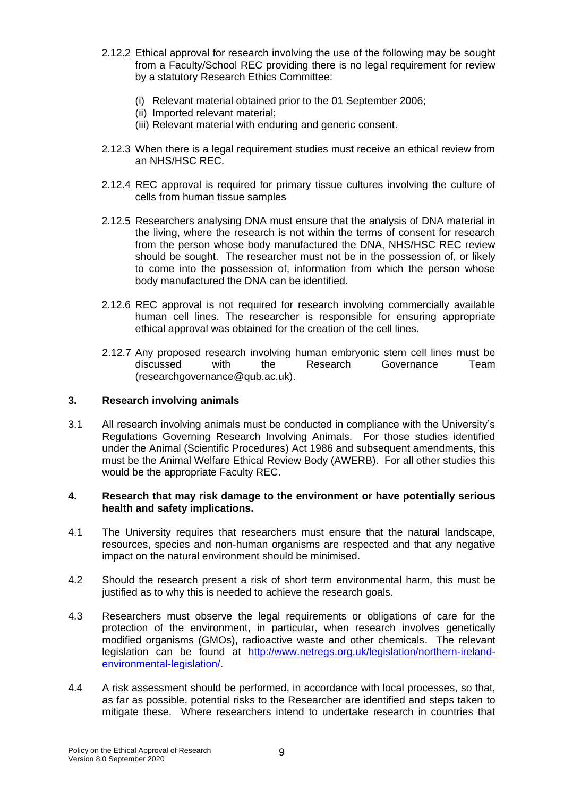- 2.12.2 Ethical approval for research involving the use of the following may be sought from a Faculty/School REC providing there is no legal requirement for review by a statutory Research Ethics Committee:
	- (i) Relevant material obtained prior to the 01 September 2006;
	- (ii) Imported relevant material;
	- (iii) Relevant material with enduring and generic consent.
- 2.12.3 When there is a legal requirement studies must receive an ethical review from an NHS/HSC REC.
- 2.12.4 REC approval is required for primary tissue cultures involving the culture of cells from human tissue samples
- 2.12.5 Researchers analysing DNA must ensure that the analysis of DNA material in the living, where the research is not within the terms of consent for research from the person whose body manufactured the DNA, NHS/HSC REC review should be sought. The researcher must not be in the possession of, or likely to come into the possession of, information from which the person whose body manufactured the DNA can be identified.
- 2.12.6 REC approval is not required for research involving commercially available human cell lines. The researcher is responsible for ensuring appropriate ethical approval was obtained for the creation of the cell lines.
- 2.12.7 Any proposed research involving human embryonic stem cell lines must be discussed with the Research Governance Team (researchgovernance@qub.ac.uk).

### **3. Research involving animals**

3.1 All research involving animals must be conducted in compliance with the University's Regulations Governing Research Involving Animals. For those studies identified under the Animal (Scientific Procedures) Act 1986 and subsequent amendments, this must be the Animal Welfare Ethical Review Body (AWERB). For all other studies this would be the appropriate Faculty REC.

### **4. Research that may risk damage to the environment or have potentially serious health and safety implications.**

- 4.1 The University requires that researchers must ensure that the natural landscape, resources, species and non-human organisms are respected and that any negative impact on the natural environment should be minimised.
- 4.2 Should the research present a risk of short term environmental harm, this must be justified as to why this is needed to achieve the research goals.
- 4.3 Researchers must observe the legal requirements or obligations of care for the protection of the environment, in particular, when research involves genetically modified organisms (GMOs), radioactive waste and other chemicals. The relevant legislation can be found at [http://www.netregs.org.uk/legislation/northern-ireland](http://www.netregs.org.uk/legislation/northern-ireland-environmental-legislation/)[environmental-legislation/.](http://www.netregs.org.uk/legislation/northern-ireland-environmental-legislation/)
- 4.4 A risk assessment should be performed, in accordance with local processes, so that, as far as possible, potential risks to the Researcher are identified and steps taken to mitigate these. Where researchers intend to undertake research in countries that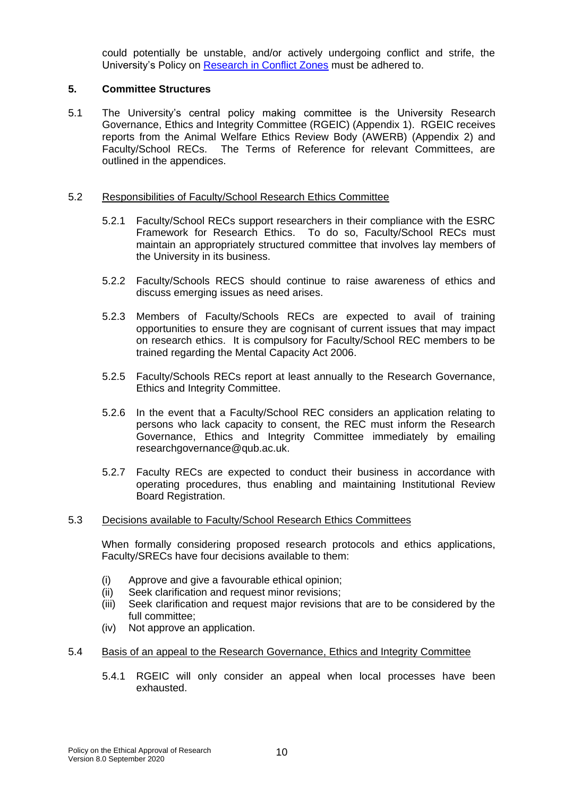could potentially be unstable, and/or actively undergoing conflict and strife, the University's Policy on Research [in Conflict Zones](http://www.qub.ac.uk/Research/Governance-ethics-and-integrity/FileStore/Filetoupload,848325,en.pdf) must be adhered to.

## **5. Committee Structures**

5.1 The University's central policy making committee is the University Research Governance, Ethics and Integrity Committee (RGEIC) (Appendix 1). RGEIC receives reports from the Animal Welfare Ethics Review Body (AWERB) (Appendix 2) and Faculty/School RECs. The Terms of Reference for relevant Committees, are outlined in the appendices.

### 5.2 Responsibilities of Faculty/School Research Ethics Committee

- 5.2.1 Faculty/School RECs support researchers in their compliance with the ESRC Framework for Research Ethics. To do so, Faculty/School RECs must maintain an appropriately structured committee that involves lay members of the University in its business.
- 5.2.2 Faculty/Schools RECS should continue to raise awareness of ethics and discuss emerging issues as need arises.
- 5.2.3 Members of Faculty/Schools RECs are expected to avail of training opportunities to ensure they are cognisant of current issues that may impact on research ethics. It is compulsory for Faculty/School REC members to be trained regarding the Mental Capacity Act 2006.
- 5.2.5 Faculty/Schools RECs report at least annually to the Research Governance, Ethics and Integrity Committee.
- 5.2.6 In the event that a Faculty/School REC considers an application relating to persons who lack capacity to consent, the REC must inform the Research Governance, Ethics and Integrity Committee immediately by emailing researchgovernance@qub.ac.uk.
- 5.2.7 Faculty RECs are expected to conduct their business in accordance with operating procedures, thus enabling and maintaining Institutional Review Board Registration.

#### 5.3 Decisions available to Faculty/School Research Ethics Committees

When formally considering proposed research protocols and ethics applications, Faculty/SRECs have four decisions available to them:

- (i) Approve and give a favourable ethical opinion;
- (ii) Seek clarification and request minor revisions;
- (iii) Seek clarification and request major revisions that are to be considered by the full committee;
- (iv) Not approve an application.
- 5.4 Basis of an appeal to the Research Governance, Ethics and Integrity Committee
	- 5.4.1 RGEIC will only consider an appeal when local processes have been exhausted.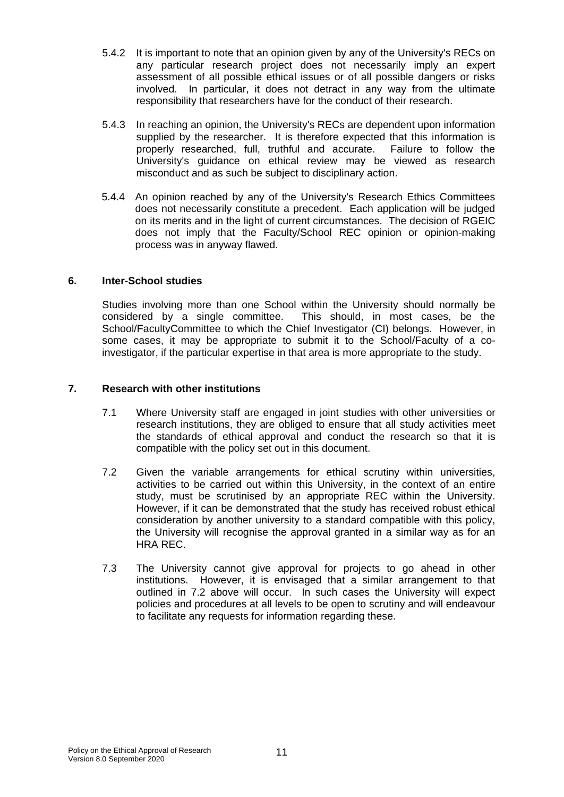- 5.4.2 It is important to note that an opinion given by any of the University's RECs on any particular research project does not necessarily imply an expert assessment of all possible ethical issues or of all possible dangers or risks involved. In particular, it does not detract in any way from the ultimate responsibility that researchers have for the conduct of their research.
- 5.4.3 In reaching an opinion, the University's RECs are dependent upon information supplied by the researcher. It is therefore expected that this information is properly researched, full, truthful and accurate. Failure to follow the University's guidance on ethical review may be viewed as research misconduct and as such be subject to disciplinary action.
- 5.4.4 An opinion reached by any of the University's Research Ethics Committees does not necessarily constitute a precedent. Each application will be judged on its merits and in the light of current circumstances. The decision of RGEIC does not imply that the Faculty/School REC opinion or opinion-making process was in anyway flawed.

# **6. Inter-School studies**

Studies involving more than one School within the University should normally be considered by a single committee. This should, in most cases, be the School/FacultyCommittee to which the Chief Investigator (CI) belongs. However, in some cases, it may be appropriate to submit it to the School/Faculty of a coinvestigator, if the particular expertise in that area is more appropriate to the study.

## **7. Research with other institutions**

- 7.1 Where University staff are engaged in joint studies with other universities or research institutions, they are obliged to ensure that all study activities meet the standards of ethical approval and conduct the research so that it is compatible with the policy set out in this document.
- 7.2 Given the variable arrangements for ethical scrutiny within universities, activities to be carried out within this University, in the context of an entire study, must be scrutinised by an appropriate REC within the University. However, if it can be demonstrated that the study has received robust ethical consideration by another university to a standard compatible with this policy, the University will recognise the approval granted in a similar way as for an HRA REC.
- 7.3 The University cannot give approval for projects to go ahead in other institutions. However, it is envisaged that a similar arrangement to that outlined in 7.2 above will occur. In such cases the University will expect policies and procedures at all levels to be open to scrutiny and will endeavour to facilitate any requests for information regarding these.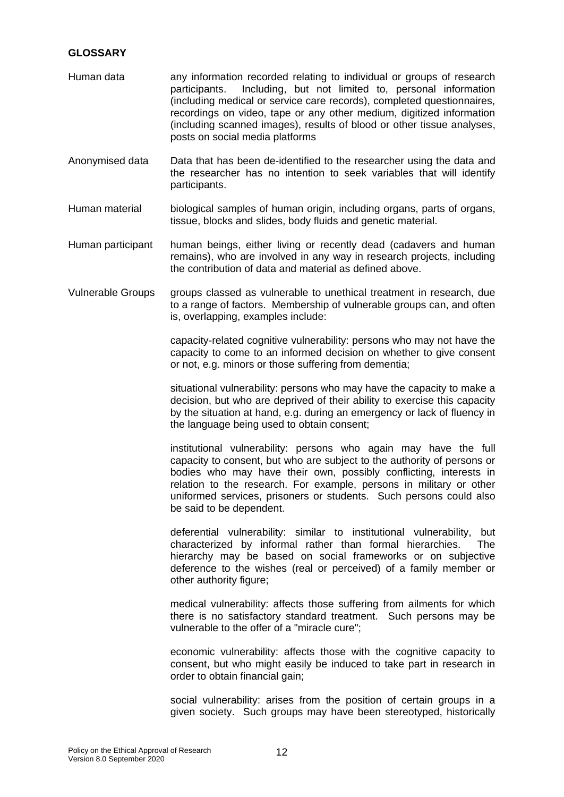# **GLOSSARY**

- Human data any information recorded relating to individual or groups of research participants. Including, but not limited to, personal information (including medical or service care records), completed questionnaires, recordings on video, tape or any other medium, digitized information (including scanned images), results of blood or other tissue analyses, posts on social media platforms
- Anonymised data Data that has been de-identified to the researcher using the data and the researcher has no intention to seek variables that will identify participants.
- Human material biological samples of human origin, including organs, parts of organs, tissue, blocks and slides, body fluids and genetic material.
- Human participant human beings, either living or recently dead (cadavers and human remains), who are involved in any way in research projects, including the contribution of data and material as defined above.
- Vulnerable Groups groups classed as vulnerable to unethical treatment in research, due to a range of factors. Membership of vulnerable groups can, and often is, overlapping, examples include:

capacity-related cognitive vulnerability: persons who may not have the capacity to come to an informed decision on whether to give consent or not, e.g. minors or those suffering from dementia;

situational vulnerability: persons who may have the capacity to make a decision, but who are deprived of their ability to exercise this capacity by the situation at hand, e.g. during an emergency or lack of fluency in the language being used to obtain consent;

institutional vulnerability: persons who again may have the full capacity to consent, but who are subject to the authority of persons or bodies who may have their own, possibly conflicting, interests in relation to the research. For example, persons in military or other uniformed services, prisoners or students. Such persons could also be said to be dependent.

deferential vulnerability: similar to institutional vulnerability, but characterized by informal rather than formal hierarchies. The hierarchy may be based on social frameworks or on subjective deference to the wishes (real or perceived) of a family member or other authority figure;

medical vulnerability: affects those suffering from ailments for which there is no satisfactory standard treatment. Such persons may be vulnerable to the offer of a "miracle cure";

economic vulnerability: affects those with the cognitive capacity to consent, but who might easily be induced to take part in research in order to obtain financial gain;

social vulnerability: arises from the position of certain groups in a given society. Such groups may have been stereotyped, historically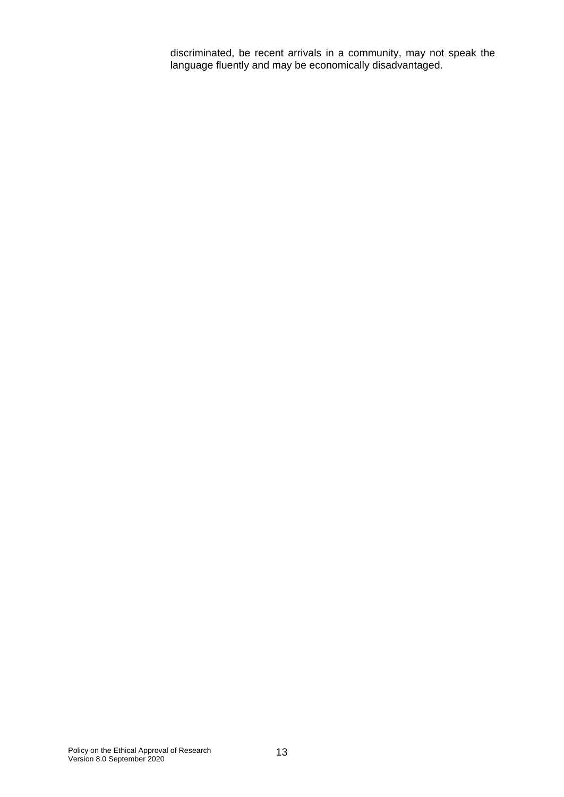discriminated, be recent arrivals in a community, may not speak the language fluently and may be economically disadvantaged.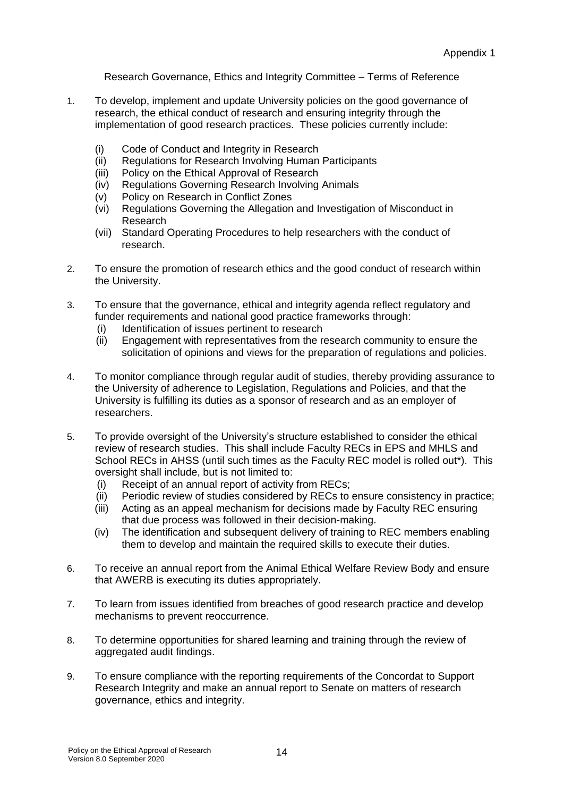Research Governance, Ethics and Integrity Committee – Terms of Reference

- 1. To develop, implement and update University policies on the good governance of research, the ethical conduct of research and ensuring integrity through the implementation of good research practices. These policies currently include:
	- (i) Code of Conduct and Integrity in Research
	- (ii) Regulations for Research Involving Human Participants
	- (iii) Policy on the Ethical Approval of Research
	- (iv) Regulations Governing Research Involving Animals
	- (v) Policy on Research in Conflict Zones
	- (vi) Regulations Governing the Allegation and Investigation of Misconduct in Research
	- (vii) Standard Operating Procedures to help researchers with the conduct of research.
- 2. To ensure the promotion of research ethics and the good conduct of research within the University.
- 3. To ensure that the governance, ethical and integrity agenda reflect regulatory and funder requirements and national good practice frameworks through:
	- (i) Identification of issues pertinent to research
	- (ii) Engagement with representatives from the research community to ensure the solicitation of opinions and views for the preparation of regulations and policies.
- 4. To monitor compliance through regular audit of studies, thereby providing assurance to the University of adherence to Legislation, Regulations and Policies, and that the University is fulfilling its duties as a sponsor of research and as an employer of researchers.
- 5. To provide oversight of the University's structure established to consider the ethical review of research studies. This shall include Faculty RECs in EPS and MHLS and School RECs in AHSS (until such times as the Faculty REC model is rolled out\*). This oversight shall include, but is not limited to:
	- (i) Receipt of an annual report of activity from RECs;
	- (ii) Periodic review of studies considered by RECs to ensure consistency in practice;
	- (iii) Acting as an appeal mechanism for decisions made by Faculty REC ensuring that due process was followed in their decision-making.
	- (iv) The identification and subsequent delivery of training to REC members enabling them to develop and maintain the required skills to execute their duties.
- 6. To receive an annual report from the Animal Ethical Welfare Review Body and ensure that AWERB is executing its duties appropriately.
- 7. To learn from issues identified from breaches of good research practice and develop mechanisms to prevent reoccurrence.
- 8. To determine opportunities for shared learning and training through the review of aggregated audit findings.
- 9. To ensure compliance with the reporting requirements of the Concordat to Support Research Integrity and make an annual report to Senate on matters of research governance, ethics and integrity.